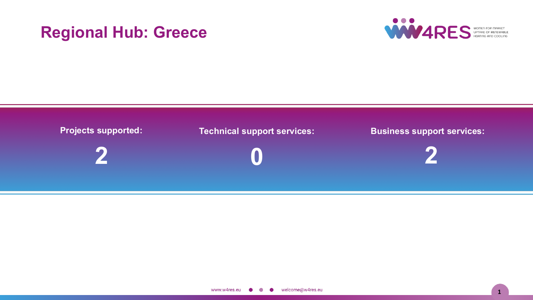# **Regional Hub: Greece**



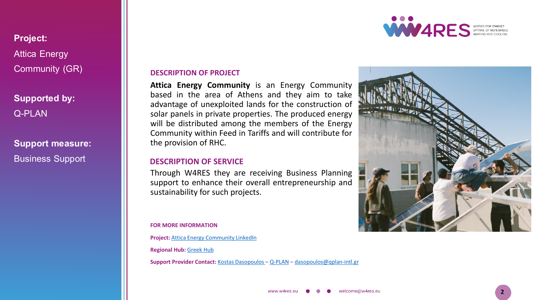**Project:** Attica Energy Community (GR)

**Supported by:** Q-PLAN

**Support measure:** Business Support

#### **DESCRIPTION OF PROJECT**

**Attica Energy Community** is an Energy Community based in the area of Athens and they aim to take advantage of unexploited lands for the construction of solar panels in private properties. The produced energy will be distributed among the members of the Energy Community within Feed in Tariffs and will contribute for the provision of RHC.

### **DESCRIPTION OF SERVICE**

Through W4RES they are receiving Business Planning support to enhance their overall entrepreneurship and sustainability for such projects.

**FOR MORE INFORMATION**

**Project:** Attica Energy [Community](https://www.linkedin.com/in/atticaenergycommunity/) LinkedIn

**Regional Hub:** [Greek](https://w4resobservatory.eu/regional-hubs/hub-greece/) Hub

**Support Provider Contact:** Kostas [Dasopoulos](https://www.linkedin.com/in/kostas-dasopoulos-68819014a/) – [Q-PLAN](https://qplan-intl.gr/) – [dasopoulos@qplan-intl.gr](mailto:dasopoulos@qplan-intl.gr)



**2**